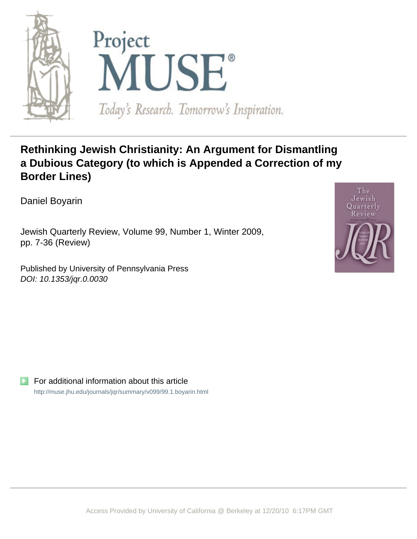

# **Rethinking Jewish Christianity: An Argument for Dismantling a Dubious Category (to which is Appended a Correction of my Border Lines)**

Daniel Boyarin

Jewish Quarterly Review, Volume 99, Number 1, Winter 2009, pp. 7-36 (Review)

Published by University of Pennsylvania Press DOI: 10.1353/jqr.0.0030



For additional information about this article <http://muse.jhu.edu/journals/jqr/summary/v099/99.1.boyarin.html>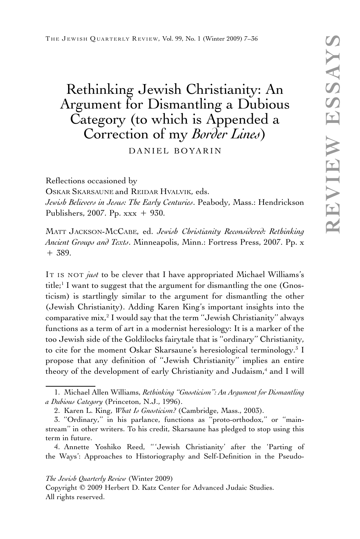## Rethinking Jewish Christianity: An Argument for Dismantling a Dubious Category (to which is Appended a Correction of my *Border Lines*)

DANIEL BOYARIN

Reflections occasioned by

OSKAR SKARSAUNE and REIDAR HVALVIK, eds.

*Jewish Believers in Jesus: The Early Centuries*. Peabody, Mass.: Hendrickson Publishers, 2007. Pp.  $xxx + 930$ .

MATT JACKSON-MCCABE, ed. *Jewish Christianity Reconsidered: Rethinking Ancient Groups and Texts*. Minneapolis, Minn.: Fortress Press, 2007. Pp. x - 389.

IT IS NOT *just* to be clever that I have appropriated Michael Williams's title;<sup>1</sup> I want to suggest that the argument for dismantling the one (Gnosticism) is startlingly similar to the argument for dismantling the other (Jewish Christianity). Adding Karen King's important insights into the comparative mix,<sup>2</sup> I would say that the term "Jewish Christianity" always functions as a term of art in a modernist heresiology: It is a marker of the too Jewish side of the Goldilocks fairytale that is ''ordinary'' Christianity, to cite for the moment Oskar Skarsaune's heresiological terminology.3 I propose that any definition of ''Jewish Christianity'' implies an entire theory of the development of early Christianity and Judaism,<sup>4</sup> and I will

*The Jewish Quarterly Review* (Winter 2009)

Copyright © 2009 Herbert D. Katz Center for Advanced Judaic Studies. All rights reserved.

<sup>1.</sup> Michael Allen Williams, *Rethinking ''Gnosticism'': An Argument for Dismantling a Dubious Category* (Princeton, N.J., 1996).

<sup>2.</sup> Karen L. King, *What Is Gnosticism?* (Cambridge, Mass., 2003).

<sup>3. &#</sup>x27;'Ordinary,'' in his parlance, functions as ''proto-orthodox,'' or ''mainstream'' in other writers. To his credit, Skarsaune has pledged to stop using this term in future.

<sup>4.</sup> Annette Yoshiko Reed, '' 'Jewish Christianity' after the 'Parting of the Ways': Approaches to Historiography and Self-Definition in the Pseudo-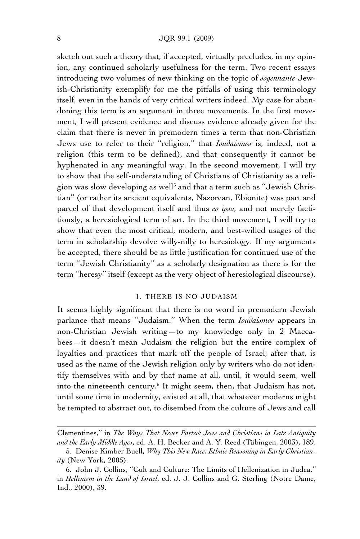sketch out such a theory that, if accepted, virtually precludes, in my opinion, any continued scholarly usefulness for the term. Two recent essays introducing two volumes of new thinking on the topic of *sogennante* Jewish-Christianity exemplify for me the pitfalls of using this terminology itself, even in the hands of very critical writers indeed. My case for abandoning this term is an argument in three movements. In the first movement, I will present evidence and discuss evidence already given for the claim that there is never in premodern times a term that non-Christian Jews use to refer to their ''religion,'' that *Ioudaismos* is, indeed, not a religion (this term to be defined), and that consequently it cannot be hyphenated in any meaningful way. In the second movement, I will try to show that the self-understanding of Christians of Christianity as a religion was slow developing as well<sup>5</sup> and that a term such as "Jewish Christian'' (or rather its ancient equivalents, Nazorean, Ebionite) was part and parcel of that development itself and thus *eo ipso*, and not merely factitiously, a heresiological term of art. In the third movement, I will try to show that even the most critical, modern, and best-willed usages of the term in scholarship devolve willy-nilly to heresiology. If my arguments be accepted, there should be as little justification for continued use of the term ''Jewish Christianity'' as a scholarly designation as there is for the term ''heresy'' itself (except as the very object of heresiological discourse).

#### 1. THERE IS NO JUDAISM

It seems highly significant that there is no word in premodern Jewish parlance that means ''Judaism.'' When the term *Ioudaismos* appears in non-Christian Jewish writing—to my knowledge only in 2 Maccabees—it doesn't mean Judaism the religion but the entire complex of loyalties and practices that mark off the people of Israel; after that, is used as the name of the Jewish religion only by writers who do not identify themselves with and by that name at all, until, it would seem, well into the nineteenth century.<sup>6</sup> It might seem, then, that Judaism has not, until some time in modernity, existed at all, that whatever moderns might be tempted to abstract out, to disembed from the culture of Jews and call

Clementines,'' in *The Ways That Never Parted: Jews and Christians in Late Antiquity and the Early Middle Ages*, ed. A. H. Becker and A. Y. Reed (Tübingen, 2003), 189.

<sup>5.</sup> Denise Kimber Buell, *Why This New Race: Ethnic Reasoning in Early Christianity* (New York, 2005).

<sup>6.</sup> John J. Collins, ''Cult and Culture: The Limits of Hellenization in Judea,'' in *Hellenism in the Land of Israel*, ed. J. J. Collins and G. Sterling (Notre Dame, Ind., 2000), 39.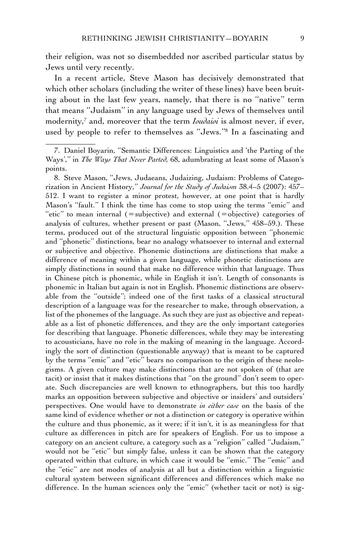their religion, was not so disembedded nor ascribed particular status by Jews until very recently.

In a recent article, Steve Mason has decisively demonstrated that which other scholars (including the writer of these lines) have been bruiting about in the last few years, namely, that there is no ''native'' term that means ''Judaism'' in any language used by Jews of themselves until modernity,<sup>7</sup> and, moreover that the term *Ioudaioi* is almost never, if ever, used by people to refer to themselves as ''Jews.''8 In a fascinating and

7. Daniel Boyarin, ''Semantic Differences: Linguistics and 'the Parting of the Ways','' in *The Ways That Never Parted,* 68, adumbrating at least some of Mason's points.

8. Steve Mason, ''Jews, Judaeans, Judaizing, Judaism: Problems of Categorization in Ancient History,'' *Journal for the Study of Judaism* 38.4–5 (2007): 457– 512. I want to register a minor protest, however, at one point that is hardly Mason's ''fault.'' I think the time has come to stop using the terms ''emic'' and "etic" to mean internal  $(=subjective)$  and external  $(=objective)$  categories of analysis of cultures, whether present or past (Mason, ''Jews,'' 458–59.). These terms, produced out of the structural linguistic opposition between ''phonemic and ''phonetic'' distinctions, bear no analogy whatsoever to internal and external or subjective and objective. Phonemic distinctions are distinctions that make a difference of meaning within a given language, while phonetic distinctions are simply distinctions in sound that make no difference within that language. Thus in Chinese pitch is phonemic, while in English it isn't. Length of consonants is phonemic in Italian but again is not in English. Phonemic distinctions are observable from the ''outside''; indeed one of the first tasks of a classical structural description of a language was for the researcher to make, through observation, a list of the phonemes of the language. As such they are just as objective and repeatable as a list of phonetic differences, and they are the only important categories for describing that language. Phonetic differences, while they may be interesting to acousticians, have no role in the making of meaning in the language. Accordingly the sort of distinction (questionable anyway) that is meant to be captured by the terms ''emic'' and ''etic'' bears no comparison to the origin of these neologisms. A given culture may make distinctions that are not spoken of (that are tacit) or insist that it makes distinctions that ''on the ground'' don't seem to operate. Such discrepancies are well known to ethnographers, but this too hardly marks an opposition between subjective and objective or insiders' and outsiders' perspectives. One would have to demonstrate *in either case* on the basis of the same kind of evidence whether or not a distinction or category is operative within the culture and thus phonemic, as it were; if it isn't, it is as meaningless for that culture as differences in pitch are for speakers of English. For us to impose a category on an ancient culture, a category such as a ''religion'' called ''Judaism,'' would not be ''etic'' but simply false, unless it can be shown that the category operated within that culture, in which case it would be ''emic.'' The ''emic'' and the ''etic'' are not modes of analysis at all but a distinction within a linguistic cultural system between significant differences and differences which make no difference. In the human sciences only the ''emic'' (whether tacit or not) is sig-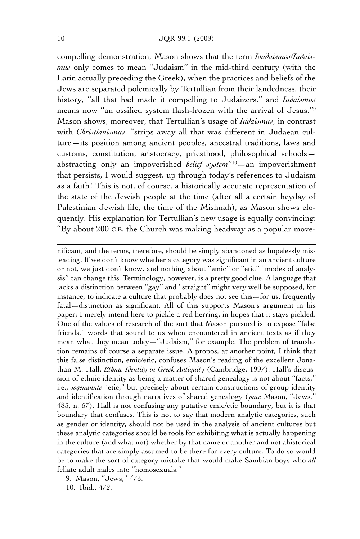compelling demonstration, Mason shows that the term *Ioudaismos/Iudaismus* only comes to mean ''Judaism'' in the mid-third century (with the Latin actually preceding the Greek), when the practices and beliefs of the Jews are separated polemically by Tertullian from their landedness, their history, ''all that had made it compelling to Judaizers,'' and *Iudaismus* means now ''an ossified system flash-frozen with the arrival of Jesus.''9 Mason shows, moreover, that Tertullian's usage of *Iudaismus*, in contrast with *Christianismus*, ''strips away all that was different in Judaean culture—its position among ancient peoples, ancestral traditions, laws and customs, constitution, aristocracy, priesthood, philosophical schools abstracting only an impoverished *belief system*''10—an impoverishment that persists, I would suggest, up through today's references to Judaism as a faith! This is not, of course, a historically accurate representation of the state of the Jewish people at the time (after all a certain heyday of Palestinian Jewish life, the time of the Mishnah), as Mason shows eloquently. His explanation for Tertullian's new usage is equally convincing: ''By about 200 C.E. the Church was making headway as a popular move-

nificant, and the terms, therefore, should be simply abandoned as hopelessly misleading. If we don't know whether a category was significant in an ancient culture or not, we just don't know, and nothing about ''emic'' or ''etic'' ''modes of analysis'' can change this. Terminology, however, is a pretty good clue. A language that lacks a distinction between ''gay'' and ''straight'' might very well be supposed, for instance, to indicate a culture that probably does not see this—for us, frequently fatal—distinction as significant. All of this supports Mason's argument in his paper; I merely intend here to pickle a red herring, in hopes that it stays pickled. One of the values of research of the sort that Mason pursued is to expose ''false friends,'' words that sound to us when encountered in ancient texts as if they mean what they mean today—''Judaism,'' for example. The problem of translation remains of course a separate issue. A propos, at another point, I think that this false distinction, emic/etic, confuses Mason's reading of the excellent Jonathan M. Hall, *Ethnic Identity in Greek Antiquity* (Cambridge, 1997). Hall's discussion of ethnic identity as being a matter of shared genealogy is not about ''facts,'' i.e., *sogenannte* ''etic,'' but precisely about certain constructions of group identity and identification through narratives of shared genealogy ( *pace* Mason, ''Jews,'' 483, n. 57). Hall is not confusing any putative emic/etic boundary, but it is that boundary that confuses. This is not to say that modern analytic categories, such as gender or identity, should not be used in the analysis of ancient cultures but these analytic categories should be tools for exhibiting what is actually happening in the culture (and what not) whether by that name or another and not ahistorical categories that are simply assumed to be there for every culture. To do so would be to make the sort of category mistake that would make Sambian boys who *all* fellate adult males into ''homosexuals.''

9. Mason, ''Jews,'' 473.

10. Ibid., 472.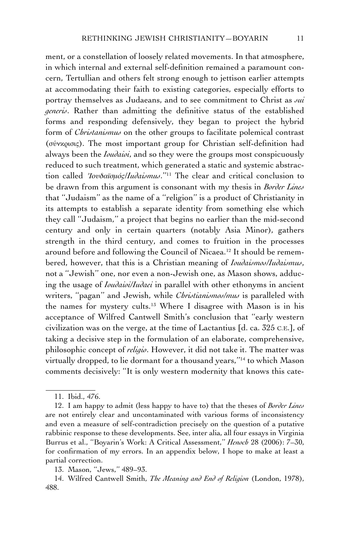ment, or a constellation of loosely related movements. In that atmosphere, in which internal and external self-definition remained a paramount concern, Tertullian and others felt strong enough to jettison earlier attempts at accommodating their faith to existing categories, especially efforts to portray themselves as Judaeans, and to see commitment to Christ as *sui generis*. Rather than admitting the definitive status of the established forms and responding defensively, they began to project the hybrid form of *Christanismus* on the other groups to facilitate polemical contrast (σνκρισις). The most important group for Christian self-definition had always been the *Ioudaioi*, and so they were the groups most conspicuously reduced to such treatment, which generated a static and systemic abstraction called *'Ιουδαϊσμός/Ιu∂aismus.''*<sup>11</sup> The clear and critical conclusion to be drawn from this argument is consonant with my thesis in *Border Lines* that ''Judaism'' as the name of a ''religion'' is a product of Christianity in its attempts to establish a separate identity from something else which they call ''Judaism,'' a project that begins no earlier than the mid-second century and only in certain quarters (notably Asia Minor), gathers strength in the third century, and comes to fruition in the processes around before and following the Council of Nicaea.<sup>12</sup> It should be remembered, however, that this is a Christian meaning of *Ioudaismos/Iudaismus*, not a ''Jewish'' one, nor even a non-Jewish one, as Mason shows, adducing the usage of *Ioudaioi/Iudaei* in parallel with other ethonyms in ancient writers, ''pagan'' and Jewish, while *Christianismos/mus* is paralleled with the names for mystery cults.13 Where I disagree with Mason is in his acceptance of Wilfred Cantwell Smith's conclusion that ''early western civilization was on the verge, at the time of Lactantius [d. ca. 325 C.E.], of taking a decisive step in the formulation of an elaborate, comprehensive, philosophic concept of *religio*. However, it did not take it. The matter was virtually dropped, to lie dormant for a thousand years,''14 to which Mason comments decisively: ''It is only western modernity that knows this cate-

<sup>11.</sup> Ibid., 476.

<sup>12.</sup> I am happy to admit (less happy to have to) that the theses of *Border Lines* are not entirely clear and uncontaminated with various forms of inconsistency and even a measure of self-contradiction precisely on the question of a putative rabbinic response to these developments. See, inter alia, all four essays in Virginia Burrus et al., ''Boyarin's Work: A Critical Assessment,'' *Henoch* 28 (2006): 7–30, for confirmation of my errors. In an appendix below, I hope to make at least a partial correction.

<sup>13.</sup> Mason, "Jews," 489-93.

<sup>14.</sup> Wilfred Cantwell Smith, *The Meaning and End of Religion* (London, 1978), 488.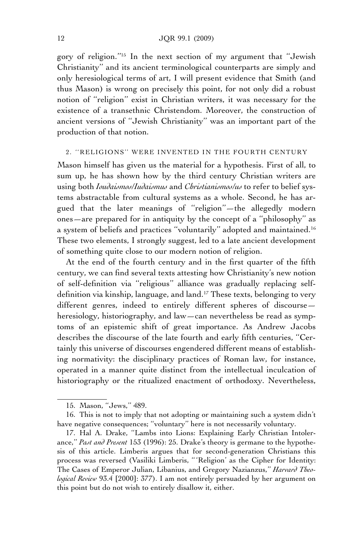gory of religion.''15 In the next section of my argument that ''Jewish Christianity'' and its ancient terminological counterparts are simply and only heresiological terms of art, I will present evidence that Smith (and thus Mason) is wrong on precisely this point, for not only did a robust notion of ''religion'' exist in Christian writers, it was necessary for the existence of a transethnic Christendom. Moreover, the construction of ancient versions of ''Jewish Christianity'' was an important part of the production of that notion.

#### 2. ''RELIGIONS'' WERE INVENTED IN THE FOURTH CENTURY

Mason himself has given us the material for a hypothesis. First of all, to sum up, he has shown how by the third century Christian writers are using both *Ioudaismos/Iudaismus* and *Christianismos/us* to refer to belief systems abstractable from cultural systems as a whole. Second, he has argued that the later meanings of ''religion''—the allegedly modern ones—are prepared for in antiquity by the concept of a ''philosophy'' as a system of beliefs and practices ''voluntarily'' adopted and maintained.16 These two elements, I strongly suggest, led to a late ancient development of something quite close to our modern notion of religion.

At the end of the fourth century and in the first quarter of the fifth century, we can find several texts attesting how Christianity's new notion of self-definition via ''religious'' alliance was gradually replacing selfdefinition via kinship, language, and land.<sup>17</sup> These texts, belonging to very different genres, indeed to entirely different spheres of discourse heresiology, historiography, and law—can nevertheless be read as symptoms of an epistemic shift of great importance. As Andrew Jacobs describes the discourse of the late fourth and early fifth centuries, ''Certainly this universe of discourses engendered different means of establishing normativity: the disciplinary practices of Roman law, for instance, operated in a manner quite distinct from the intellectual inculcation of historiography or the ritualized enactment of orthodoxy. Nevertheless,

<sup>15.</sup> Mason, ''Jews,'' 489.

<sup>16.</sup> This is not to imply that not adopting or maintaining such a system didn't have negative consequences; ''voluntary'' here is not necessarily voluntary.

<sup>17.</sup> Hal A. Drake, ''Lambs into Lions: Explaining Early Christian Intolerance,'' *Past and Present* 153 (1996): 25. Drake's theory is germane to the hypothesis of this article. Limberis argues that for second-generation Christians this process was reversed (Vasiliki Limberis, '' 'Religion' as the Cipher for Identity: The Cases of Emperor Julian, Libanius, and Gregory Nazianzus,'' *Harvard Theological Review* 93.4 [2000]: 377). I am not entirely persuaded by her argument on this point but do not wish to entirely disallow it, either.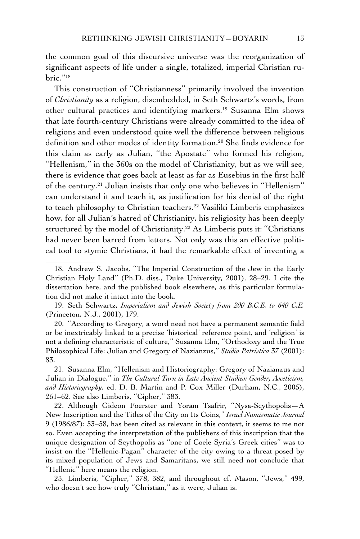the common goal of this discursive universe was the reorganization of significant aspects of life under a single, totalized, imperial Christian rubric.''18

This construction of ''Christianness'' primarily involved the invention of *Christianity* as a religion, disembedded, in Seth Schwartz's words, from other cultural practices and identifying markers.19 Susanna Elm shows that late fourth-century Christians were already committed to the idea of religions and even understood quite well the difference between religious definition and other modes of identity formation.<sup>20</sup> She finds evidence for this claim as early as Julian, ''the Apostate'' who formed his religion, ''Hellenism,'' in the 360s on the model of Christianity, but as we will see, there is evidence that goes back at least as far as Eusebius in the first half of the century.21 Julian insists that only one who believes in ''Hellenism'' can understand it and teach it, as justification for his denial of the right to teach philosophy to Christian teachers.<sup>22</sup> Vasiliki Limberis emphasizes how, for all Julian's hatred of Christianity, his religiosity has been deeply structured by the model of Christianity.<sup>23</sup> As Limberis puts it: "Christians had never been barred from letters. Not only was this an effective political tool to stymie Christians, it had the remarkable effect of inventing a

19. Seth Schwartz, *Imperialism and Jewish Society from 200 B.C.E. to 640 C.E.* (Princeton, N.J., 2001), 179.

20. ''According to Gregory, a word need not have a permanent semantic field or be inextricably linked to a precise 'historical' reference point, and 'religion' is not a defining characteristic of culture,'' Susanna Elm, ''Orthodoxy and the True Philosophical Life: Julian and Gregory of Nazianzus,'' *Studia Patristica* 37 (2001): 83.

21. Susanna Elm, ''Hellenism and Historiography: Gregory of Nazianzus and Julian in Dialogue,'' in *The Cultural Turn in Late Ancient Studies: Gender, Asceticism, and Historiography*, ed. D. B. Martin and P. Cox Miller (Durham, N.C., 2005), 261–62. See also Limberis, ''Cipher,'' 383.

22. Although Gideon Foerster and Yoram Tsafrir, ''Nysa-Scythopolis—A New Inscription and the Titles of the City on Its Coins,'' *Israel Numismatic Journal* 9 (1986/87): 53–58, has been cited as relevant in this context, it seems to me not so. Even accepting the interpretation of the publishers of this inscription that the unique designation of Scythopolis as ''one of Coele Syria's Greek cities'' was to insist on the ''Hellenic-Pagan'' character of the city owing to a threat posed by its mixed population of Jews and Samaritans, we still need not conclude that ''Hellenic'' here means the religion.

23. Limberis, "Cipher," 378, 382, and throughout cf. Mason, "Jews," 499, who doesn't see how truly ''Christian,'' as it were, Julian is.

<sup>18.</sup> Andrew S. Jacobs, ''The Imperial Construction of the Jew in the Early Christian Holy Land'' (Ph.D. diss., Duke University, 2001), 28–29. I cite the dissertation here, and the published book elsewhere, as this particular formulation did not make it intact into the book.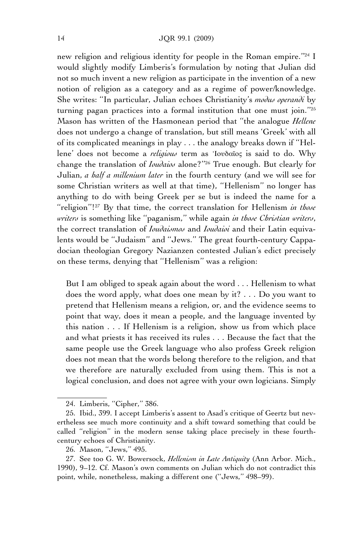new religion and religious identity for people in the Roman empire.''24 I would slightly modify Limberis's formulation by noting that Julian did not so much invent a new religion as participate in the invention of a new notion of religion as a category and as a regime of power/knowledge. She writes: ''In particular, Julian echoes Christianity's *modus operandi* by turning pagan practices into a formal institution that one must join.''25 Mason has written of the Hasmonean period that ''the analogue *Hellene* does not undergo a change of translation, but still means 'Greek' with all of its complicated meanings in play . . . the analogy breaks down if ''Hellene' does not become a *religious* term as 'Ιουδαῖος is said to do. Why change the translation of *Ioudaios* alone?''26 True enough. But clearly for Julian, *a half a millenium later* in the fourth century (and we will see for some Christian writers as well at that time), ''Hellenism'' no longer has anything to do with being Greek per se but is indeed the name for a "religion"!<sup>27</sup> By that time, the correct translation for Hellenism *in those writers* is something like ''paganism,'' while again *in those Christian writers*, the correct translation of *Ioudaismos* and *Ioudaioi* and their Latin equivalents would be ''Judaism'' and ''Jews.'' The great fourth-century Cappadocian theologian Gregory Nazianzen contested Julian's edict precisely on these terms, denying that ''Hellenism'' was a religion:

But I am obliged to speak again about the word . . . Hellenism to what does the word apply, what does one mean by it? . . . Do you want to pretend that Hellenism means a religion, or, and the evidence seems to point that way, does it mean a people, and the language invented by this nation . . . If Hellenism is a religion, show us from which place and what priests it has received its rules . . . Because the fact that the same people use the Greek language who also profess Greek religion does not mean that the words belong therefore to the religion, and that we therefore are naturally excluded from using them. This is not a logical conclusion, and does not agree with your own logicians. Simply

<sup>24.</sup> Limberis, "Cipher," 386.

<sup>25.</sup> Ibid., 399. I accept Limberis's assent to Asad's critique of Geertz but nevertheless see much more continuity and a shift toward something that could be called ''religion'' in the modern sense taking place precisely in these fourthcentury echoes of Christianity.

<sup>26.</sup> Mason, "Jews," 495.

<sup>27.</sup> See too G. W. Bowersock, *Hellenism in Late Antiquity* (Ann Arbor. Mich., 1990), 9–12. Cf. Mason's own comments on Julian which do not contradict this point, while, nonetheless, making a different one (''Jews,'' 498–99).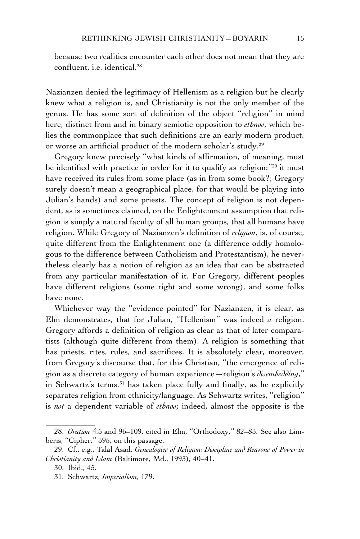because two realities encounter each other does not mean that they are confluent, i.e. identical.<sup>28</sup>

Nazianzen denied the legitimacy of Hellenism as a religion but he clearly knew what a religion is, and Christianity is not the only member of the genus. He has some sort of definition of the object ''religion'' in mind here, distinct from and in binary semiotic opposition to *ethnos*, which belies the commonplace that such definitions are an early modern product, or worse an artificial product of the modern scholar's study.<sup>29</sup>

Gregory knew precisely ''what kinds of affirmation, of meaning, must be identified with practice in order for it to qualify as religion:''30 it must have received its rules from some place (as in from some book?; Gregory surely doesn't mean a geographical place, for that would be playing into Julian's hands) and some priests. The concept of religion is not dependent, as is sometimes claimed, on the Enlightenment assumption that religion is simply a natural faculty of all human groups, that all humans have religion. While Gregory of Nazianzen's definition of *religion*, is, of course, quite different from the Enlightenment one (a difference oddly homologous to the difference between Catholicism and Protestantism), he nevertheless clearly has a notion of religion as an idea that can be abstracted from any particular manifestation of it. For Gregory, different peoples have different religions (some right and some wrong), and some folks have none.

Whichever way the "evidence pointed" for Nazianzen, it is clear, as Elm demonstrates, that for Julian, ''Hellenism'' was indeed *a* religion. Gregory affords a definition of religion as clear as that of later comparatists (although quite different from them). A religion is something that has priests, rites, rules, and sacrifices. It is absolutely clear, moreover, from Gregory's discourse that, for this Christian, ''the emergence of religion as a discrete category of human experience—religion's *disembedding*,'' in Schwartz's terms,<sup>31</sup> has taken place fully and finally, as he explicitly separates religion from ethnicity/language. As Schwartz writes, ''religion'' is *not* a dependent variable of *ethnos*; indeed, almost the opposite is the

<sup>28.</sup> *Oration* 4.5 and 96–109, cited in Elm, ''Orthodoxy,'' 82–83. See also Limberis, ''Cipher,'' 395, on this passage.

<sup>29.</sup> Cf., e.g., Talal Asad, *Genealogies of Religion: Discipline and Reasons of Power in Christianity and Islam* (Baltimore, Md., 1993), 40–41.

<sup>30.</sup> Ibid., 45.

<sup>31.</sup> Schwartz, *Imperialism*, 179.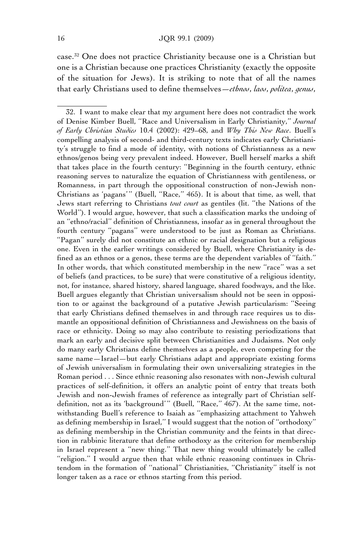case.32 One does not practice Christianity because one is a Christian but one is a Christian because one practices Christianity (exactly the opposite of the situation for Jews). It is striking to note that of all the names that early Christians used to define themselves—*ethnos*, *laos*, *politea*, *genus*,

<sup>32.</sup> I want to make clear that my argument here does not contradict the work of Denise Kimber Buell, ''Race and Universalism in Early Christianity,'' *Journal of Early Christian Studies* 10.4 (2002): 429–68, and *Why This New Race*. Buell's compelling analysis of second- and third-century texts indicates early Christianity's struggle to find a mode of identity, with notions of Christianness as a new ethnos/genos being very prevalent indeed. However, Buell herself marks a shift that takes place in the fourth century: ''Beginning in the fourth century, ethnic reasoning serves to naturalize the equation of Christianness with gentileness, or Romanness, in part through the oppositional construction of non-Jewish non-Christians as 'pagans'" (Buell, "Race," 465). It is about that time, as well, that Jews start referring to Christians *tout court* as gentiles (lit. ''the Nations of the World''). I would argue, however, that such a classification marks the undoing of an ''ethno/racial'' definition of Christianness, insofar as in general throughout the fourth century ''pagans'' were understood to be just as Roman as Christians. ''Pagan'' surely did not constitute an ethnic or racial designation but a religious one. Even in the earlier writings considered by Buell, where Christianity is defined as an ethnos or a genos, these terms are the dependent variables of ''faith.'' In other words, that which constituted membership in the new ''race'' was a set of beliefs (and practices, to be sure) that were constitutive of a religious identity, not, for instance, shared history, shared language, shared foodways, and the like. Buell argues elegantly that Christian universalism should not be seen in opposition to or against the background of a putative Jewish particularism: ''Seeing that early Christians defined themselves in and through race requires us to dismantle an oppositional definition of Christianness and Jewishness on the basis of race or ethnicity. Doing so may also contribute to resisting periodizations that mark an early and decisive split between Christianities and Judaisms. Not only do many early Christians define themselves as a people, even competing for the same name—Israel—but early Christians adapt and appropriate existing forms of Jewish universalism in formulating their own universalizing strategies in the Roman period . . . Since ethnic reasoning also resonates with non-Jewish cultural practices of self-definition, it offers an analytic point of entry that treats both Jewish and non-Jewish frames of reference as integrally part of Christian selfdefinition, not as its 'background'" (Buell, "Race," 467). At the same time, notwithstanding Buell's reference to Isaiah as ''emphasizing attachment to Yahweh as defining membership in Israel,'' I would suggest that the notion of ''orthodoxy'' as defining membership in the Christian community and the feints in that direction in rabbinic literature that define orthodoxy as the criterion for membership in Israel represent a ''new thing.'' That new thing would ultimately be called "religion." I would argue then that while ethnic reasoning continues in Christendom in the formation of ''national'' Christianities, ''Christianity'' itself is not longer taken as a race or ethnos starting from this period.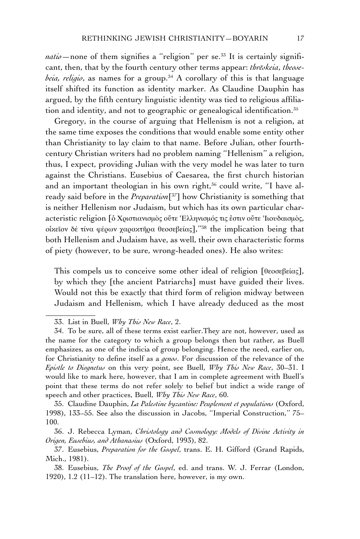*natio*—none of them signifies a "religion" per se.<sup>33</sup> It is certainly significant, then, that by the fourth century other terms appear: *thrēskeia*, theose*beia, religio*, as names for a group.<sup>34</sup> A corollary of this is that language itself shifted its function as identity marker. As Claudine Dauphin has argued, by the fifth century linguistic identity was tied to religious affiliation and identity, and not to geographic or genealogical identification.<sup>35</sup>

Gregory, in the course of arguing that Hellenism is not a religion, at the same time exposes the conditions that would enable some entity other than Christianity to lay claim to that name. Before Julian, other fourthcentury Christian writers had no problem naming ''Hellenism'' a religion, thus, I expect, providing Julian with the very model he was later to turn against the Christians. Eusebius of Caesarea, the first church historian and an important theologian in his own right,<sup>36</sup> could write, "I have already said before in the *Preparation*[37] how Christianity is something that is neither Hellenism nor Judaism, but which has its own particular characteristic religion [ὁ Χριστιανισμὸς οὔτε Ἑλληνισμός τις ἐστιν οὔτε Ἰιουδαισμὸς, οίκεῖον δέ τίνα φέρων χαρακτῆρα θεοσεβείας],"<sup>38</sup> the implication being that both Hellenism and Judaism have, as well, their own characteristic forms of piety (however, to be sure, wrong-headed ones). He also writes:

This compels us to conceive some other ideal of religion [θεοσεβείας], by which they [the ancient Patriarchs] must have guided their lives. Would not this be exactly that third form of religion midway between Judaism and Hellenism, which I have already deduced as the most

<sup>33.</sup> List in Buell, *Why This New Race*, 2.

<sup>34.</sup> To be sure, all of these terms exist earlier.They are not, however, used as the name for the category to which a group belongs then but rather, as Buell emphasizes, as one of the indicia of group belonging. Hence the need, earlier on, for Christianity to define itself as a *genos*. For discussion of the relevance of the *Epistle to Diognetus* on this very point, see Buell, *Why This New Race*, 30–31. I would like to mark here, however, that I am in complete agreement with Buell's point that these terms do not refer solely to belief but indict a wide range of speech and other practices, Buell, *Why This New Race*, 60.

<sup>35.</sup> Claudine Dauphin, *La Palestine byzantine: Peuplement et populations* (Oxford, 1998), 133–55. See also the discussion in Jacobs, ''Imperial Construction,'' 75– 100.

<sup>36.</sup> J. Rebecca Lyman, *Christology and Cosmology: Models of Divine Activity in Origen, Eusebius, and Athanasius* (Oxford, 1993), 82.

<sup>37.</sup> Eusebius, *Preparation for the Gospel*, trans. E. H. Gifford (Grand Rapids, Mich., 1981).

<sup>38.</sup> Eusebius, *The Proof of the Gospel*, ed. and trans. W. J. Ferrar (London, 1920), 1.2 (11–12). The translation here, however, is my own.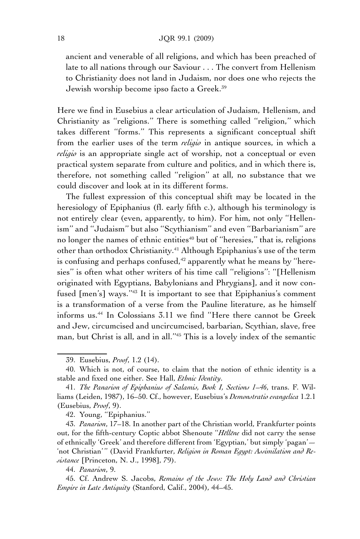ancient and venerable of all religions, and which has been preached of late to all nations through our Saviour . . . The convert from Hellenism to Christianity does not land in Judaism, nor does one who rejects the Jewish worship become ipso facto a Greek.39

Here we find in Eusebius a clear articulation of Judaism, Hellenism, and Christianity as ''religions.'' There is something called ''religion,'' which takes different ''forms.'' This represents a significant conceptual shift from the earlier uses of the term *religio* in antique sources, in which a *religio* is an appropriate single act of worship, not a conceptual or even practical system separate from culture and politics, and in which there is, therefore, not something called ''religion'' at all, no substance that we could discover and look at in its different forms.

The fullest expression of this conceptual shift may be located in the heresiology of Epiphanius (fl. early fifth c.), although his terminology is not entirely clear (even, apparently, to him). For him, not only ''Hellenism'' and ''Judaism'' but also ''Scythianism'' and even ''Barbarianism'' are no longer the names of ethnic entities<sup>40</sup> but of "heresies," that is, religions other than orthodox Christianity.<sup>41</sup> Although Epiphanius's use of the term is confusing and perhaps confused, $42$  apparently what he means by "heresies'' is often what other writers of his time call ''religions'': ''[Hellenism originated with Egyptians, Babylonians and Phrygians], and it now confused [men's] ways.''43 It is important to see that Epiphanius's comment is a transformation of a verse from the Pauline literature, as he himself informs us.44 In Colossians 3.11 we find ''Here there cannot be Greek and Jew, circumcised and uncircumcised, barbarian, Scythian, slave, free man, but Christ is all, and in all.''45 This is a lovely index of the semantic

42. Young, ''Epiphanius.''

43. *Panarion*, 17–18. In another part of the Christian world, Frankfurter points out, for the fifth-century Coptic abbot Shenoute "*Hellene* did not carry the sense of ethnically 'Greek' and therefore different from 'Egyptian,' but simply 'pagan'— 'not Christian' '' (David Frankfurter, *Religion in Roman Egypt: Assimilation and Resistance* [Princeton, N. J., 1998], 79).

44. *Panarion*, 9.

<sup>39.</sup> Eusebius, *Proof*, 1.2 (14).

<sup>40.</sup> Which is not, of course, to claim that the notion of ethnic identity is a stable and fixed one either. See Hall, *Ethnic Identity*.

<sup>41.</sup> *The Panarion of Epiphanius of Salamis, Book I, Sections 1–46*, trans. F. Williams (Leiden, 1987), 16–50. Cf., however, Eusebius's *Demonstratio evangelica* 1.2.1 (Eusebius, *Proof*, 9).

<sup>45.</sup> Cf. Andrew S. Jacobs, *Remains of the Jews: The Holy Land and Christian Empire in Late Antiquity* (Stanford, Calif., 2004), 44–45.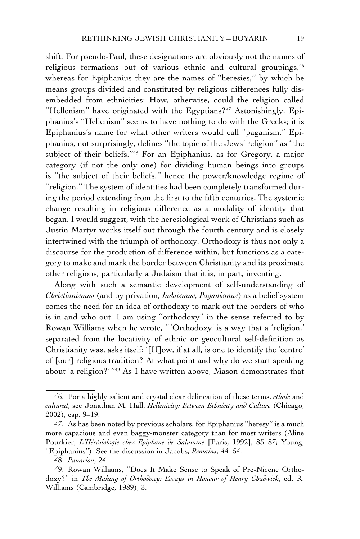shift. For pseudo-Paul, these designations are obviously not the names of religious formations but of various ethnic and cultural groupings,<sup>46</sup> whereas for Epiphanius they are the names of ''heresies,'' by which he means groups divided and constituted by religious differences fully disembedded from ethnicities: How, otherwise, could the religion called ''Hellenism'' have originated with the Egyptians?47 Astonishingly, Epiphanius's ''Hellenism'' seems to have nothing to do with the Greeks; it is Epiphanius's name for what other writers would call ''paganism.'' Epiphanius, not surprisingly, defines ''the topic of the Jews' religion'' as ''the subject of their beliefs."<sup>48</sup> For an Epiphanius, as for Gregory, a major category (if not the only one) for dividing human beings into groups is ''the subject of their beliefs,'' hence the power/knowledge regime of ''religion.'' The system of identities had been completely transformed during the period extending from the first to the fifth centuries. The systemic change resulting in religious difference as a modality of identity that began, I would suggest, with the heresiological work of Christians such as Justin Martyr works itself out through the fourth century and is closely intertwined with the triumph of orthodoxy. Orthodoxy is thus not only a discourse for the production of difference within, but functions as a category to make and mark the border between Christianity and its proximate other religions, particularly a Judaism that it is, in part, inventing.

Along with such a semantic development of self-understanding of *Christianismus* (and by privation, *Iudaismus, Paganismus*) as a belief system comes the need for an idea of orthodoxy to mark out the borders of who is in and who out. I am using ''orthodoxy'' in the sense referred to by Rowan Williams when he wrote, '' 'Orthodoxy' is a way that a 'religion,' separated from the locativity of ethnic or geocultural self-definition as Christianity was, asks itself: '[H]ow, if at all, is one to identify the 'centre' of [our] religious tradition? At what point and why do we start speaking about 'a religion?' ''49 As I have written above, Mason demonstrates that

<sup>46.</sup> For a highly salient and crystal clear delineation of these terms, *ethnic* and *cultural*, see Jonathan M. Hall, *Hellenicity: Between Ethnicity and Culture* (Chicago, 2002), esp. 9–19.

<sup>47.</sup> As has been noted by previous scholars, for Epiphanius ''heresy'' is a much more capacious and even baggy-monster category than for most writers (Aline Pourkier, *L'Hérésiologie chez Épiphane de Salamine* [Paris, 1992], 85-87; Young, ''Epiphanius''). See the discussion in Jacobs, *Remains*, 44–54.

<sup>48.</sup> *Panarion*, 24.

<sup>49.</sup> Rowan Williams, ''Does It Make Sense to Speak of Pre-Nicene Orthodoxy?'' in *The Making of Orthodoxy: Essays in Honour of Henry Chadwick*, ed. R. Williams (Cambridge, 1989), 3.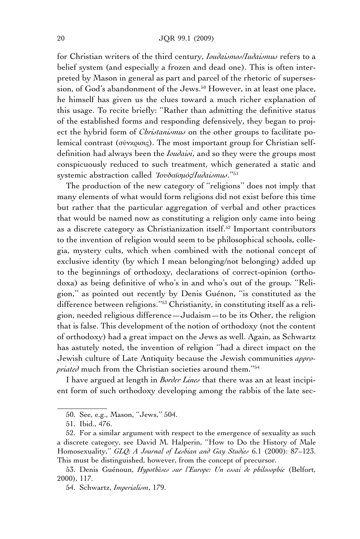for Christian writers of the third century, *Ioudaismos/Iudaismus* refers to a belief system (and especially a frozen and dead one). This is often interpreted by Mason in general as part and parcel of the rhetoric of supersession, of God's abandonment of the Jews.<sup>50</sup> However, in at least one place, he himself has given us the clues toward a much richer explanation of this usage. To recite briefly: ''Rather than admitting the definitive status of the established forms and responding defensively, they began to project the hybrid form of *Christanismus* on the other groups to facilitate polemical contrast (σνκρισις). The most important group for Christian selfdefinition had always been the *Ioudaioi*, and so they were the groups most conspicuously reduced to such treatment, which generated a static and systemic abstraction called *'Ιουδαϊσμός/Ιuдaismus*.''<sup>51</sup>

The production of the new category of ''religions'' does not imply that many elements of what would form religions did not exist before this time but rather that the particular aggregation of verbal and other practices that would be named now as constituting a religion only came into being as a discrete category as Christianization itself.52 Important contributors to the invention of religion would seem to be philosophical schools, collegia, mystery cults, which when combined with the notional concept of exclusive identity (by which I mean belonging/not belonging) added up to the beginnings of orthodoxy, declarations of correct-opinion (orthodoxa) as being definitive of who's in and who's out of the group. ''Religion," as pointed out recently by Denis Guénon, "is constituted as the difference between religions.''53 Christianity, in constituting itself as a religion, needed religious difference—Judaism—to be its Other, the religion that is false. This development of the notion of orthodoxy (not the content of orthodoxy) had a great impact on the Jews as well. Again, as Schwartz has astutely noted, the invention of religion ''had a direct impact on the Jewish culture of Late Antiquity because the Jewish communities *appropriated* much from the Christian societies around them.''54

I have argued at length in *Border Lines* that there was an at least incipient form of such orthodoxy developing among the rabbis of the late sec-

<sup>50.</sup> See, e.g., Mason, ''Jews,'' 504.

<sup>51.</sup> Ibid., 476.

<sup>52.</sup> For a similar argument with respect to the emergence of sexuality as such a discrete category, see David M. Halperin, ''How to Do the History of Male Homosexuality,'' *GLQ: A Journal of Lesbian and Gay Studies* 6.1 (2000): 87–123. This must be distinguished, however, from the concept of precursor.

<sup>53.</sup> Denis Guénoun, *Hypothèses sur l'Europe: Un essai de philosophie* (Belfort, 2000), 117.

<sup>54.</sup> Schwartz, *Imperialism*, 179.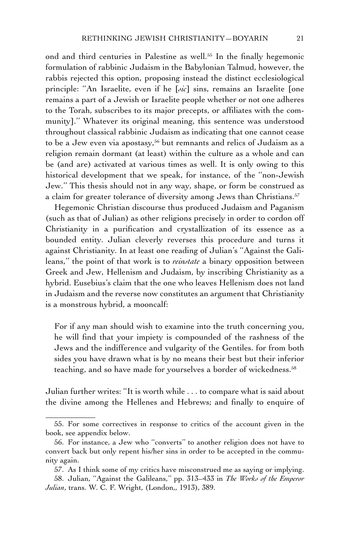ond and third centuries in Palestine as well.<sup>55</sup> In the finally hegemonic formulation of rabbinic Judaism in the Babylonian Talmud, however, the rabbis rejected this option, proposing instead the distinct ecclesiological principle: ''An Israelite, even if he [*sic*] sins, remains an Israelite [one remains a part of a Jewish or Israelite people whether or not one adheres to the Torah, subscribes to its major precepts, or affiliates with the community].'' Whatever its original meaning, this sentence was understood throughout classical rabbinic Judaism as indicating that one cannot cease to be a Jew even via apostasy,<sup>56</sup> but remnants and relics of Judaism as a religion remain dormant (at least) within the culture as a whole and can be (and are) activated at various times as well. It is only owing to this historical development that we speak, for instance, of the ''non-Jewish Jew.'' This thesis should not in any way, shape, or form be construed as a claim for greater tolerance of diversity among Jews than Christians.<sup>57</sup>

Hegemonic Christian discourse thus produced Judaism and Paganism (such as that of Julian) as other religions precisely in order to cordon off Christianity in a purification and crystallization of its essence as a bounded entity. Julian cleverly reverses this procedure and turns it against Christianity. In at least one reading of Julian's ''Against the Galileans,'' the point of that work is to *reinstate* a binary opposition between Greek and Jew, Hellenism and Judaism, by inscribing Christianity as a hybrid. Eusebius's claim that the one who leaves Hellenism does not land in Judaism and the reverse now constitutes an argument that Christianity is a monstrous hybrid, a mooncalf:

For if any man should wish to examine into the truth concerning you, he will find that your impiety is compounded of the rashness of the Jews and the indifference and vulgarity of the Gentiles. for from both sides you have drawn what is by no means their best but their inferior teaching, and so have made for yourselves a border of wickedness.<sup>58</sup>

Julian further writes: ''It is worth while . . . to compare what is said about the divine among the Hellenes and Hebrews; and finally to enquire of

<sup>55.</sup> For some correctives in response to critics of the account given in the book, see appendix below.

<sup>56.</sup> For instance, a Jew who ''converts'' to another religion does not have to convert back but only repent his/her sins in order to be accepted in the community again.

<sup>57.</sup> As I think some of my critics have misconstrued me as saying or implying.

<sup>58.</sup> Julian, ''Against the Galileans,'' pp. 313–433 in *The Works of the Emperor Julian*, trans. W. C. F. Wright, (London,, 1913), 389.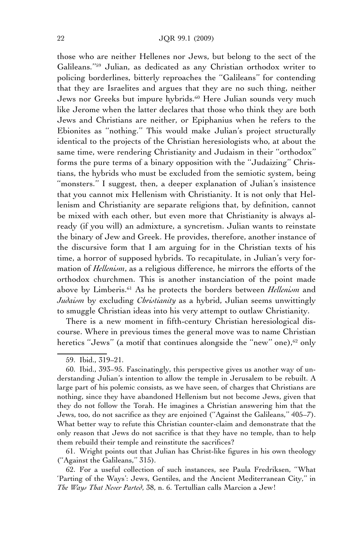those who are neither Hellenes nor Jews, but belong to the sect of the Galileans.''59 Julian, as dedicated as any Christian orthodox writer to policing borderlines, bitterly reproaches the ''Galileans'' for contending that they are Israelites and argues that they are no such thing, neither Jews nor Greeks but impure hybrids.<sup>60</sup> Here Julian sounds very much like Jerome when the latter declares that those who think they are both Jews and Christians are neither, or Epiphanius when he refers to the Ebionites as ''nothing.'' This would make Julian's project structurally identical to the projects of the Christian heresiologists who, at about the same time, were rendering Christianity and Judaism in their ''orthodox'' forms the pure terms of a binary opposition with the ''Judaizing'' Christians, the hybrids who must be excluded from the semiotic system, being "monsters." I suggest, then, a deeper explanation of Julian's insistence that you cannot mix Hellenism with Christianity. It is not only that Hellenism and Christianity are separate religions that, by definition, cannot be mixed with each other, but even more that Christianity is always already (if you will) an admixture, a syncretism. Julian wants to reinstate the binary of Jew and Greek. He provides, therefore, another instance of the discursive form that I am arguing for in the Christian texts of his time, a horror of supposed hybrids. To recapitulate, in Julian's very formation of *Hellenism*, as a religious difference, he mirrors the efforts of the orthodox churchmen. This is another instanciation of the point made above by Limberis.61 As he protects the borders between *Hellenism* and *Judaism* by excluding *Christianity* as a hybrid, Julian seems unwittingly to smuggle Christian ideas into his very attempt to outlaw Christianity.

There is a new moment in fifth-century Christian heresiological discourse. Where in previous times the general move was to name Christian heretics "Jews" (a motif that continues alongside the "new" one),<sup>62</sup> only

61. Wright points out that Julian has Christ-like figures in his own theology (''Against the Galileans,'' 315).

62. For a useful collection of such instances, see Paula Fredriksen, ''What 'Parting of the Ways': Jews, Gentiles, and the Ancient Mediterranean City,'' in *The Ways That Never Parted*, 38, n. 6. Tertullian calls Marcion a Jew!

<sup>59.</sup> Ibid., 319–21.

<sup>60.</sup> Ibid., 393–95. Fascinatingly, this perspective gives us another way of understanding Julian's intention to allow the temple in Jerusalem to be rebuilt. A large part of his polemic consists, as we have seen, of charges that Christians are nothing, since they have abandoned Hellenism but not become Jews, given that they do not follow the Torah. He imagines a Christian answering him that the Jews, too, do not sacrifice as they are enjoined (''Against the Galileans,'' 405–7). What better way to refute this Christian counter-claim and demonstrate that the only reason that Jews do not sacrifice is that they have no temple, than to help them rebuild their temple and reinstitute the sacrifices?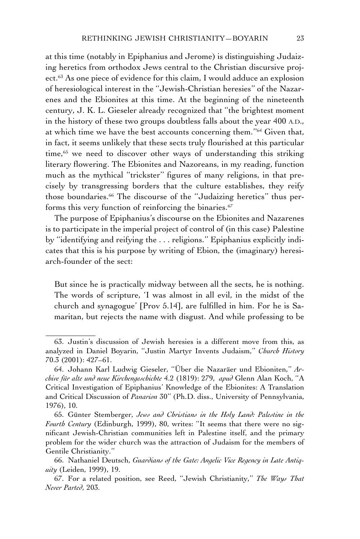at this time (notably in Epiphanius and Jerome) is distinguishing Judaizing heretics from orthodox Jews central to the Christian discursive project.63 As one piece of evidence for this claim, I would adduce an explosion of heresiological interest in the ''Jewish-Christian heresies'' of the Nazarenes and the Ebionites at this time. At the beginning of the nineteenth century, J. K. L. Gieseler already recognized that ''the brightest moment in the history of these two groups doubtless falls about the year 400 A.D., at which time we have the best accounts concerning them."<sup>64</sup> Given that, in fact, it seems unlikely that these sects truly flourished at this particular time,<sup>65</sup> we need to discover other ways of understanding this striking literary flowering. The Ebionites and Nazoreans, in my reading, function much as the mythical ''trickster'' figures of many religions, in that precisely by transgressing borders that the culture establishes, they reify those boundaries.<sup>66</sup> The discourse of the "Judaizing heretics" thus performs this very function of reinforcing the binaries.<sup>67</sup>

The purpose of Epiphanius's discourse on the Ebionites and Nazarenes is to participate in the imperial project of control of (in this case) Palestine by ''identifying and reifying the . . . religions.'' Epiphanius explicitly indicates that this is his purpose by writing of Ebion, the (imaginary) heresiarch-founder of the sect:

But since he is practically midway between all the sects, he is nothing. The words of scripture, 'I was almost in all evil, in the midst of the church and synagogue' [Prov 5.14], are fulfilled in him. For he is Samaritan, but rejects the name with disgust. And while professing to be

<sup>63.</sup> Justin's discussion of Jewish heresies is a different move from this, as analyzed in Daniel Boyarin, ''Justin Martyr Invents Judaism,'' *Church History* 70.3 (2001): 427–61.

<sup>64.</sup> Johann Karl Ludwig Gieseler, "Über die Nazaräer und Ebioniten," Ar*chive fu¨r alte und neue Kirchengeschichte* 4.2 (1819): 279, *apud* Glenn Alan Koch, ''A Critical Investigation of Epiphanius' Knowledge of the Ebionites: A Translation and Critical Discussion of *Panarion* 30'' (Ph.D. diss., University of Pennsylvania, 1976), 10.

<sup>65.</sup> Günter Stemberger, *Jews and Christians in the Holy Land: Palestine in the Fourth Century* (Edinburgh, 1999), 80, writes: ''It seems that there were no significant Jewish-Christian communities left in Palestine itself, and the primary problem for the wider church was the attraction of Judaism for the members of Gentile Christianity.''

<sup>66.</sup> Nathaniel Deutsch, *Guardians of the Gate: Angelic Vice Regency in Late Antiquity* (Leiden, 1999), 19.

<sup>67.</sup> For a related position, see Reed, ''Jewish Christianity,'' *The Ways That Never Parted*, 203.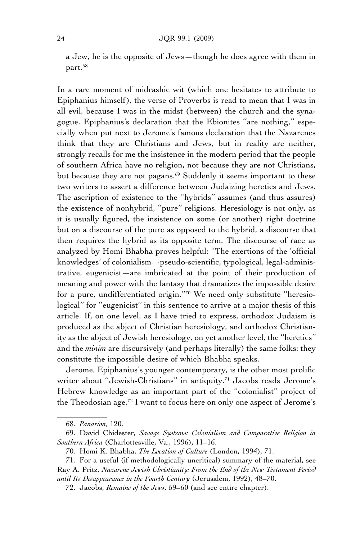a Jew, he is the opposite of Jews—though he does agree with them in part.<sup>68</sup>

In a rare moment of midrashic wit (which one hesitates to attribute to Epiphanius himself), the verse of Proverbs is read to mean that I was in all evil, because I was in the midst (between) the church and the synagogue. Epiphanius's declaration that the Ebionites ''are nothing,'' especially when put next to Jerome's famous declaration that the Nazarenes think that they are Christians and Jews, but in reality are neither, strongly recalls for me the insistence in the modern period that the people of southern Africa have no religion, not because they are not Christians, but because they are not pagans.<sup>69</sup> Suddenly it seems important to these two writers to assert a difference between Judaizing heretics and Jews. The ascription of existence to the ''hybrids'' assumes (and thus assures) the existence of nonhybrid, ''pure'' religions. Heresiology is not only, as it is usually figured, the insistence on some (or another) right doctrine but on a discourse of the pure as opposed to the hybrid, a discourse that then requires the hybrid as its opposite term. The discourse of race as analyzed by Homi Bhabha proves helpful: ''The exertions of the 'official knowledges' of colonialism—pseudo-scientific, typological, legal-administrative, eugenicist—are imbricated at the point of their production of meaning and power with the fantasy that dramatizes the impossible desire for a pure, undifferentiated origin.''70 We need only substitute ''heresiological" for "eugenicist" in this sentence to arrive at a major thesis of this article. If, on one level, as I have tried to express, orthodox Judaism is produced as the abject of Christian heresiology, and orthodox Christianity as the abject of Jewish heresiology, on yet another level, the ''heretics'' and the *minim* are discursively (and perhaps literally) the same folks: they constitute the impossible desire of which Bhabha speaks.

Jerome, Epiphanius's younger contemporary, is the other most prolific writer about "Jewish-Christians" in antiquity.<sup>71</sup> Jacobs reads Jerome's Hebrew knowledge as an important part of the ''colonialist'' project of the Theodosian age.72 I want to focus here on only one aspect of Jerome's

<sup>68.</sup> *Panarion*, 120.

<sup>69.</sup> David Chidester, *Savage Systems: Colonialism and Comparative Religion in Southern Africa* (Charlottesville, Va., 1996), 11–16.

<sup>70.</sup> Homi K. Bhabha, *The Location of Culture* (London, 1994), 71.

<sup>71.</sup> For a useful (if methodologically uncritical) summary of the material, see Ray A. Pritz, *Nazarene Jewish Christianity: From the End of the New Testament Period until Its Disappearance in the Fourth Century* (Jerusalem, 1992), 48–70.

<sup>72.</sup> Jacobs, *Remains of the Jews*, 59–60 (and see entire chapter).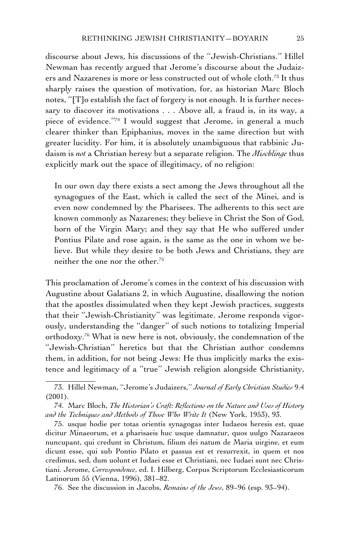discourse about Jews, his discussions of the ''Jewish-Christians.'' Hillel Newman has recently argued that Jerome's discourse about the Judaizers and Nazarenes is more or less constructed out of whole cloth.73 It thus sharply raises the question of motivation, for, as historian Marc Bloch notes, ''[T]o establish the fact of forgery is not enough. It is further necessary to discover its motivations . . . Above all, a fraud is, in its way, a piece of evidence.''74 I would suggest that Jerome, in general a much clearer thinker than Epiphanius, moves in the same direction but with greater lucidity. For him, it is absolutely unambiguous that rabbinic Judaism is *not* a Christian heresy but a separate religion. The *Mischlinge* thus explicitly mark out the space of illegitimacy, of no religion:

In our own day there exists a sect among the Jews throughout all the synagogues of the East, which is called the sect of the Minei, and is even now condemned by the Pharisees. The adherents to this sect are known commonly as Nazarenes; they believe in Christ the Son of God, born of the Virgin Mary; and they say that He who suffered under Pontius Pilate and rose again, is the same as the one in whom we believe. But while they desire to be both Jews and Christians, they are neither the one nor the other.75

This proclamation of Jerome's comes in the context of his discussion with Augustine about Galatians 2, in which Augustine, disallowing the notion that the apostles dissimulated when they kept Jewish practices, suggests that their ''Jewish-Christianity'' was legitimate. Jerome responds vigorously, understanding the ''danger'' of such notions to totalizing Imperial orthodoxy.76 What is new here is not, obviously, the condemnation of the ''Jewish-Christian'' heretics but that the Christian author condemns them, in addition, for not being Jews: He thus implicitly marks the existence and legitimacy of a ''true'' Jewish religion alongside Christianity,

75. usque hodie per totas orientis synagogas inter Iudaeos heresis est, quae dicitur Minaeorum, et a pharisaeis huc usque damnatur, quos uulgo Nazaraeos nuncupant, qui credunt in Christum, filium dei natum de Maria uirgine, et eum dicunt esse, qui sub Pontio Pilato et passus est et resurrexit, in quem et nos credimus, sed, dum uolunt et Iudaei esse et Christiani, nec Iudaei sunt nec Christiani. Jerome, *Correspondence*, ed. I. Hilberg, Corpus Scriptorum Ecclesiasticorum Latinorum 55 (Vienna, 1996), 381–82.

76. See the discussion in Jacobs, *Remains of the Jews*, 89–96 (esp. 93–94).

<sup>73.</sup> Hillel Newman, ''Jerome's Judaizers,'' *Journal of Early Christian Studies* 9.4 (2001).

<sup>74.</sup> Marc Bloch, *The Historian's Craft: Reflections on the Nature and Uses of History and the Techniques and Methods of Those Who Write It* (New York, 1953), 93.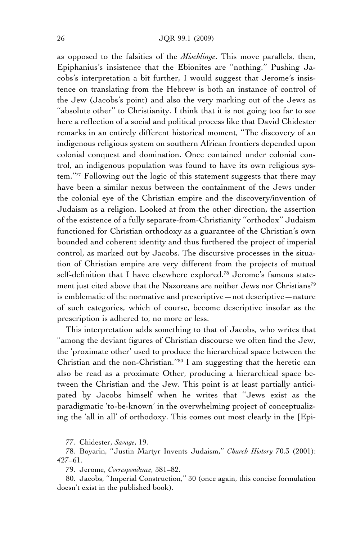as opposed to the falsities of the *Mischlinge*. This move parallels, then, Epiphanius's insistence that the Ebionites are ''nothing.'' Pushing Jacobs's interpretation a bit further, I would suggest that Jerome's insistence on translating from the Hebrew is both an instance of control of the Jew (Jacobs's point) and also the very marking out of the Jews as "absolute other" to Christianity. I think that it is not going too far to see here a reflection of a social and political process like that David Chidester remarks in an entirely different historical moment, ''The discovery of an indigenous religious system on southern African frontiers depended upon colonial conquest and domination. Once contained under colonial control, an indigenous population was found to have its own religious system.''77 Following out the logic of this statement suggests that there may have been a similar nexus between the containment of the Jews under the colonial eye of the Christian empire and the discovery/invention of Judaism as a religion. Looked at from the other direction, the assertion of the existence of a fully separate-from-Christianity ''orthodox'' Judaism functioned for Christian orthodoxy as a guarantee of the Christian's own bounded and coherent identity and thus furthered the project of imperial control, as marked out by Jacobs. The discursive processes in the situation of Christian empire are very different from the projects of mutual self-definition that I have elsewhere explored.<sup>78</sup> Jerome's famous statement just cited above that the Nazoreans are neither Jews nor Christians<sup>79</sup> is emblematic of the normative and prescriptive—not descriptive—nature of such categories, which of course, become descriptive insofar as the prescription is adhered to, no more or less.

This interpretation adds something to that of Jacobs, who writes that ''among the deviant figures of Christian discourse we often find the Jew, the 'proximate other' used to produce the hierarchical space between the Christian and the non-Christian.''80 I am suggesting that the heretic can also be read as a proximate Other, producing a hierarchical space between the Christian and the Jew. This point is at least partially anticipated by Jacobs himself when he writes that ''Jews exist as the paradigmatic 'to-be-known' in the overwhelming project of conceptualizing the 'all in all' of orthodoxy. This comes out most clearly in the [Epi-

<sup>77.</sup> Chidester, *Savage*, 19.

<sup>78.</sup> Boyarin, ''Justin Martyr Invents Judaism,'' *Church History* 70.3 (2001): 427–61.

<sup>79.</sup> Jerome, *Correspondence*, 381–82.

<sup>80.</sup> Jacobs, ''Imperial Construction,'' 30 (once again, this concise formulation doesn't exist in the published book).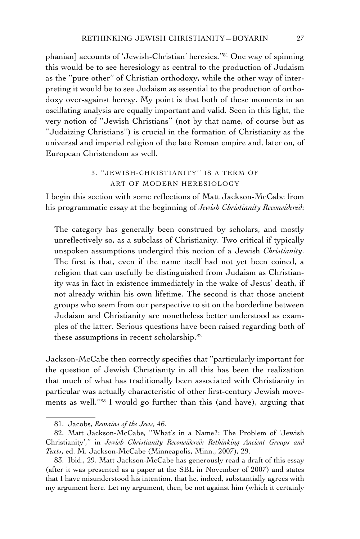phanian] accounts of 'Jewish-Christian' heresies.''81 One way of spinning this would be to see heresiology as central to the production of Judaism as the ''pure other'' of Christian orthodoxy, while the other way of interpreting it would be to see Judaism as essential to the production of orthodoxy over-against heresy. My point is that both of these moments in an oscillating analysis are equally important and valid. Seen in this light, the very notion of ''Jewish Christians'' (not by that name, of course but as ''Judaizing Christians'') is crucial in the formation of Christianity as the universal and imperial religion of the late Roman empire and, later on, of European Christendom as well.

## 3. ''JEWISH-CHRISTIANITY'' IS A TERM OF ART OF MODERN HERESIOLOGY

I begin this section with some reflections of Matt Jackson-McCabe from his programmatic essay at the beginning of *Jewish Christianity Reconsidered*:

The category has generally been construed by scholars, and mostly unreflectively so, as a subclass of Christianity. Two critical if typically unspoken assumptions undergird this notion of a Jewish *Christianity*. The first is that, even if the name itself had not yet been coined, a religion that can usefully be distinguished from Judaism as Christianity was in fact in existence immediately in the wake of Jesus' death, if not already within his own lifetime. The second is that those ancient groups who seem from our perspective to sit on the borderline between Judaism and Christianity are nonetheless better understood as examples of the latter. Serious questions have been raised regarding both of these assumptions in recent scholarship.82

Jackson-McCabe then correctly specifies that ''particularly important for the question of Jewish Christianity in all this has been the realization that much of what has traditionally been associated with Christianity in particular was actually characteristic of other first-century Jewish movements as well.''83 I would go further than this (and have), arguing that

<sup>81.</sup> Jacobs, *Remains of the Jews*, 46.

<sup>82.</sup> Matt Jackson-McCabe, ''What's in a Name?: The Problem of 'Jewish Christianity','' in *Jewish Christianity Reconsidered: Rethinking Ancient Groups and Texts*, ed. M. Jackson-McCabe (Minneapolis, Minn., 2007), 29.

<sup>83.</sup> Ibid., 29. Matt Jackson-McCabe has generously read a draft of this essay (after it was presented as a paper at the SBL in November of 2007) and states that I have misunderstood his intention, that he, indeed, substantially agrees with my argument here. Let my argument, then, be not against him (which it certainly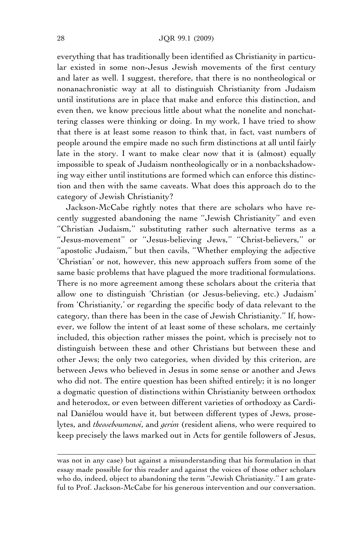everything that has traditionally been identified as Christianity in particular existed in some non-Jesus Jewish movements of the first century and later as well. I suggest, therefore, that there is no nontheological or nonanachronistic way at all to distinguish Christianity from Judaism until institutions are in place that make and enforce this distinction, and even then, we know precious little about what the nonelite and nonchattering classes were thinking or doing. In my work, I have tried to show that there is at least some reason to think that, in fact, vast numbers of people around the empire made no such firm distinctions at all until fairly late in the story. I want to make clear now that it is (almost) equally impossible to speak of Judaism nontheologically or in a nonbackshadowing way either until institutions are formed which can enforce this distinction and then with the same caveats. What does this approach do to the category of Jewish Christianity?

Jackson-McCabe rightly notes that there are scholars who have recently suggested abandoning the name ''Jewish Christianity'' and even ''Christian Judaism,'' substituting rather such alternative terms as a ''Jesus-movement'' or ''Jesus-believing Jews,'' ''Christ-believers,'' or "apostolic Judaism," but then cavils, "Whether employing the adjective 'Christian' or not, however, this new approach suffers from some of the same basic problems that have plagued the more traditional formulations. There is no more agreement among these scholars about the criteria that allow one to distinguish 'Christian (or Jesus-believing, etc.) Judaism' from 'Christianity,' or regarding the specific body of data relevant to the category, than there has been in the case of Jewish Christianity.'' If, however, we follow the intent of at least some of these scholars, me certainly included, this objection rather misses the point, which is precisely not to distinguish between these and other Christians but between these and other Jews; the only two categories, when divided by this criterion, are between Jews who believed in Jesus in some sense or another and Jews who did not. The entire question has been shifted entirely; it is no longer a dogmatic question of distinctions within Christianity between orthodox and heterodox, or even between different varieties of orthodoxy as Cardinal Daniélou would have it, but between different types of Jews, proselytes, and *theoseboumenoi*, and *gerim* (resident aliens, who were required to keep precisely the laws marked out in Acts for gentile followers of Jesus,

was not in any case) but against a misunderstanding that his formulation in that essay made possible for this reader and against the voices of those other scholars who do, indeed, object to abandoning the term ''Jewish Christianity.'' I am grateful to Prof. Jackson-McCabe for his generous intervention and our conversation.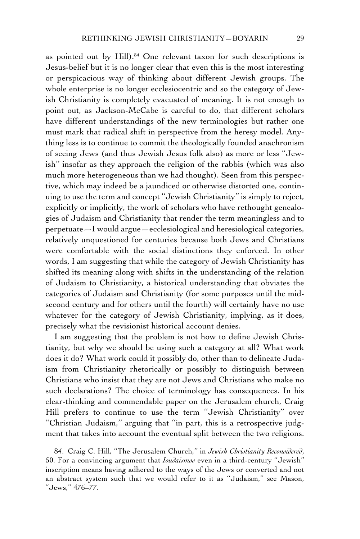as pointed out by Hill).<sup>84</sup> One relevant taxon for such descriptions is Jesus-belief but it is no longer clear that even this is the most interesting or perspicacious way of thinking about different Jewish groups. The whole enterprise is no longer ecclesiocentric and so the category of Jewish Christianity is completely evacuated of meaning. It is not enough to point out, as Jackson-McCabe is careful to do, that different scholars have different understandings of the new terminologies but rather one must mark that radical shift in perspective from the heresy model. Anything less is to continue to commit the theologically founded anachronism of seeing Jews (and thus Jewish Jesus folk also) as more or less ''Jewish'' insofar as they approach the religion of the rabbis (which was also much more heterogeneous than we had thought). Seen from this perspective, which may indeed be a jaundiced or otherwise distorted one, continuing to use the term and concept ''Jewish Christianity'' is simply to reject, explicitly or implicitly, the work of scholars who have rethought genealogies of Judaism and Christianity that render the term meaningless and to perpetuate—I would argue—ecclesiological and heresiological categories, relatively unquestioned for centuries because both Jews and Christians were comfortable with the social distinctions they enforced. In other words, I am suggesting that while the category of Jewish Christianity has shifted its meaning along with shifts in the understanding of the relation of Judaism to Christianity, a historical understanding that obviates the categories of Judaism and Christianity (for some purposes until the midsecond century and for others until the fourth) will certainly have no use whatever for the category of Jewish Christianity, implying, as it does, precisely what the revisionist historical account denies.

I am suggesting that the problem is not how to define Jewish Christianity, but why we should be using such a category at all? What work does it do? What work could it possibly do, other than to delineate Judaism from Christianity rhetorically or possibly to distinguish between Christians who insist that they are not Jews and Christians who make no such declarations? The choice of terminology has consequences. In his clear-thinking and commendable paper on the Jerusalem church, Craig Hill prefers to continue to use the term ''Jewish Christianity'' over ''Christian Judaism,'' arguing that ''in part, this is a retrospective judgment that takes into account the eventual split between the two religions.

<sup>84.</sup> Craig C. Hill, ''The Jerusalem Church,'' in *Jewish Christianity Reconsidered*, 50. For a convincing argument that *Ioudaismos* even in a third-century ''Jewish'' inscription means having adhered to the ways of the Jews or converted and not an abstract system such that we would refer to it as ''Judaism,'' see Mason, ''Jews,'' 476–77.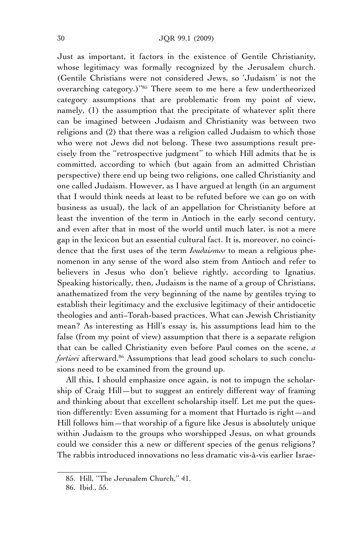Just as important, it factors in the existence of Gentile Christianity, whose legitimacy was formally recognized by the Jerusalem church. (Gentile Christians were not considered Jews, so 'Judaism' is not the overarching category.)''85 There seem to me here a few undertheorized category assumptions that are problematic from my point of view, namely, (1) the assumption that the precipitate of whatever split there can be imagined between Judaism and Christianity was between two religions and (2) that there was a religion called Judaism to which those who were not Jews did not belong. These two assumptions result precisely from the ''retrospective judgment'' to which Hill admits that he is committed, according to which (but again from an admitted Christian perspective) there end up being two religions, one called Christianity and one called Judaism. However, as I have argued at length (in an argument that I would think needs at least to be refuted before we can go on with business as usual), the lack of an appellation for Christianity before at least the invention of the term in Antioch in the early second century, and even after that in most of the world until much later, is not a mere gap in the lexicon but an essential cultural fact. It is, moreover, no coincidence that the first uses of the term *Ioudaismos* to mean a religious phenomenon in any sense of the word also stem from Antioch and refer to believers in Jesus who don't believe rightly, according to Ignatius. Speaking historically, then, Judaism is the name of a group of Christians, anathematized from the very beginning of the name by gentiles trying to establish their legitimacy and the exclusive legitimacy of their antidocetic theologies and anti–Torah-based practices. What can Jewish Christianity mean? As interesting as Hill's essay is, his assumptions lead him to the false (from my point of view) assumption that there is a separate religion that can be called Christianity even before Paul comes on the scene, *a fortiori* afterward.<sup>86</sup> Assumptions that lead good scholars to such conclusions need to be examined from the ground up.

All this, I should emphasize once again, is not to impugn the scholarship of Craig Hill—but to suggest an entirely different way of framing and thinking about that excellent scholarship itself. Let me put the question differently: Even assuming for a moment that Hurtado is right—and Hill follows him—that worship of a figure like Jesus is absolutely unique within Judaism to the groups who worshipped Jesus, on what grounds could we consider this a new or different species of the genus religions? The rabbis introduced innovations no less dramatic vis-à-vis earlier Israe-

<sup>85.</sup> Hill, ''The Jerusalem Church,'' 41.

<sup>86.</sup> Ibid., 55.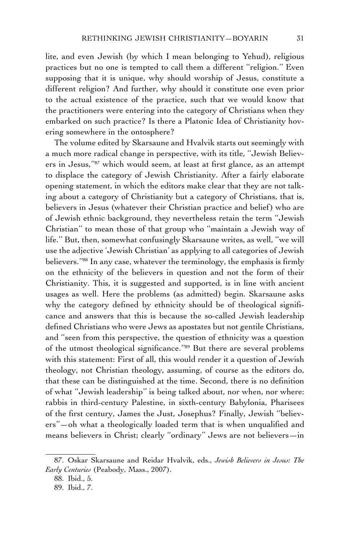lite, and even Jewish (by which I mean belonging to Yehud), religious practices but no one is tempted to call them a different ''religion.'' Even supposing that it is unique, why should worship of Jesus, constitute a different religion? And further, why should it constitute one even prior to the actual existence of the practice, such that we would know that the practitioners were entering into the category of Christians when they embarked on such practice? Is there a Platonic Idea of Christianity hovering somewhere in the ontosphere?

The volume edited by Skarsaune and Hvalvik starts out seemingly with a much more radical change in perspective, with its title, ''Jewish Believers in Jesus,''87 which would seem, at least at first glance, as an attempt to displace the category of Jewish Christianity. After a fairly elaborate opening statement, in which the editors make clear that they are not talking about a category of Christianity but a category of Christians, that is, believers in Jesus (whatever their Christian practice and belief) who are of Jewish ethnic background, they nevertheless retain the term ''Jewish Christian'' to mean those of that group who ''maintain a Jewish way of life.'' But, then, somewhat confusingly Skarsaune writes, as well, ''we will use the adjective 'Jewish Christian' as applying to all categories of Jewish believers.''88 In any case, whatever the terminology, the emphasis is firmly on the ethnicity of the believers in question and not the form of their Christianity. This, it is suggested and supported, is in line with ancient usages as well. Here the problems (as admitted) begin. Skarsaune asks why the category defined by ethnicity should be of theological significance and answers that this is because the so-called Jewish leadership defined Christians who were Jews as apostates but not gentile Christians, and ''seen from this perspective, the question of ethnicity was a question of the utmost theological significance.''89 But there are several problems with this statement: First of all, this would render it a question of Jewish theology, not Christian theology, assuming, of course as the editors do, that these can be distinguished at the time. Second, there is no definition of what ''Jewish leadership'' is being talked about, nor when, nor where: rabbis in third-century Palestine, in sixth-century Babylonia, Pharisees of the first century, James the Just, Josephus? Finally, Jewish ''believers''—oh what a theologically loaded term that is when unqualified and means believers in Christ; clearly ''ordinary'' Jews are not believers—in

<sup>87.</sup> Oskar Skarsaune and Reidar Hvalvik, eds., *Jewish Believers in Jesus: The Early Centuries* (Peabody, Mass., 2007).

<sup>88.</sup> Ibid., 5.

<sup>89.</sup> Ibid., 7.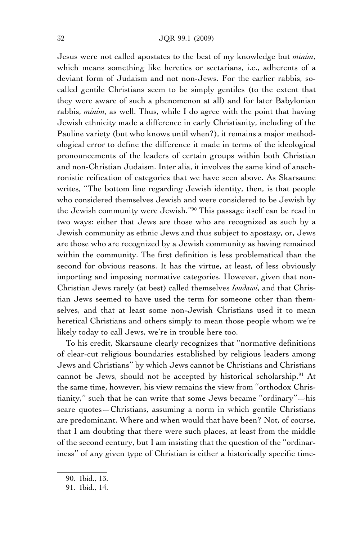Jesus were not called apostates to the best of my knowledge but *minim*, which means something like heretics or sectarians, i.e., adherents of a deviant form of Judaism and not non-Jews. For the earlier rabbis, socalled gentile Christians seem to be simply gentiles (to the extent that they were aware of such a phenomenon at all) and for later Babylonian rabbis, *minim*, as well. Thus, while I do agree with the point that having Jewish ethnicity made a difference in early Christianity, including of the Pauline variety (but who knows until when?), it remains a major methodological error to define the difference it made in terms of the ideological pronouncements of the leaders of certain groups within both Christian and non-Christian Judaism. Inter alia, it involves the same kind of anachronistic reification of categories that we have seen above. As Skarsaune writes, ''The bottom line regarding Jewish identity, then, is that people who considered themselves Jewish and were considered to be Jewish by the Jewish community were Jewish.''90 This passage itself can be read in two ways: either that Jews are those who are recognized as such by a Jewish community as ethnic Jews and thus subject to apostasy, or, Jews are those who are recognized by a Jewish community as having remained within the community. The first definition is less problematical than the second for obvious reasons. It has the virtue, at least, of less obviously importing and imposing normative categories. However, given that non-Christian Jews rarely (at best) called themselves *Ioudaioi*, and that Christian Jews seemed to have used the term for someone other than themselves, and that at least some non-Jewish Christians used it to mean heretical Christians and others simply to mean those people whom we're likely today to call Jews, we're in trouble here too.

To his credit, Skarsaune clearly recognizes that ''normative definitions of clear-cut religious boundaries established by religious leaders among Jews and Christians'' by which Jews cannot be Christians and Christians cannot be Jews, should not be accepted by historical scholarship.<sup>91</sup> At the same time, however, his view remains the view from ''orthodox Christianity,'' such that he can write that some Jews became ''ordinary''—his scare quotes—Christians, assuming a norm in which gentile Christians are predominant. Where and when would that have been? Not, of course, that I am doubting that there were such places, at least from the middle of the second century, but I am insisting that the question of the ''ordinariness'' of any given type of Christian is either a historically specific time-

<sup>90.</sup> Ibid., 13.

<sup>91.</sup> Ibid., 14.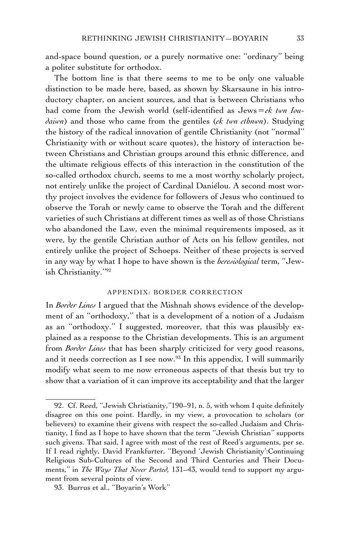and-space bound question, or a purely normative one: ''ordinary'' being a politer substitute for orthodox.

The bottom line is that there seems to me to be only one valuable distinction to be made here, based, as shown by Skarsaune in his introductory chapter, on ancient sources, and that is between Christians who had come from the Jewish world (self-identified as Jews = ek twn Iou*daiwn*) and those who came from the gentiles (*ek twn ethnwn*). Studying the history of the radical innovation of gentile Christianity (not ''normal'' Christianity with or without scare quotes), the history of interaction between Christians and Christian groups around this ethnic difference, and the ultimate religious effects of this interaction in the constitution of the so-called orthodox church, seems to me a most worthy scholarly project, not entirely unlike the project of Cardinal Daniélou. A second most worthy project involves the evidence for followers of Jesus who continued to observe the Torah or newly came to observe the Torah and the different varieties of such Christians at different times as well as of those Christians who abandoned the Law, even the minimal requirements imposed, as it were, by the gentile Christian author of Acts on his fellow gentiles, not entirely unlike the project of Schoeps. Neither of these projects is served in any way by what I hope to have shown is the *heresiological* term, ''Jewish Christianity.''92

### APPENDIX: BORDER CORRECTION

In *Border Lines* I argued that the Mishnah shows evidence of the development of an ''orthodoxy,'' that is a development of a notion of a Judaism as an ''orthodoxy.'' I suggested, moreover, that this was plausibly explained as a response to the Christian developments. This is an argument from *Border Lines* that has been sharply criticized for very good reasons, and it needs correction as I see now.<sup>93</sup> In this appendix, I will summarily modify what seem to me now erroneous aspects of that thesis but try to show that a variation of it can improve its acceptability and that the larger

<sup>92.</sup> Cf. Reed, ''Jewish Christianity,''190–91, n. 5, with whom I quite definitely disagree on this one point. Hardly, in my view, a provocation to scholars (or believers) to examine their givens with respect the so-called Judaism and Christianity, I find as I hope to have shown that the term ''Jewish Christian'' supports such givens. That said, I agree with most of the rest of Reed's arguments, per se. If I read rightly, David Frankfurter, ''Beyond 'Jewish Christianity':Continuing Religious Sub-Cultures of the Second and Third Centuries and Their Documents,'' in *The Ways That Never Parted,* 131–43, would tend to support my argument from several points of view.

<sup>93.</sup> Burrus et al., ''Boyarin's Work''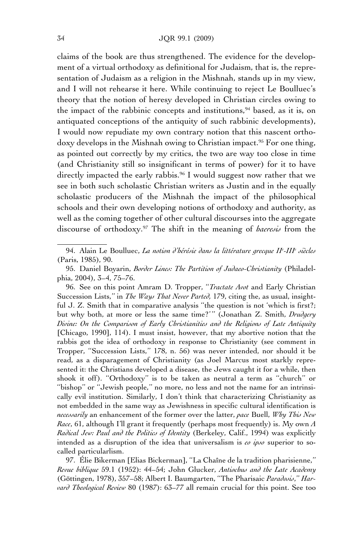claims of the book are thus strengthened. The evidence for the development of a virtual orthodoxy as definitional for Judaism, that is, the representation of Judaism as a religion in the Mishnah, stands up in my view, and I will not rehearse it here. While continuing to reject Le Boulluec's theory that the notion of heresy developed in Christian circles owing to the impact of the rabbinic concepts and institutions, $94$  based, as it is, on antiquated conceptions of the antiquity of such rabbinic developments), I would now repudiate my own contrary notion that this nascent orthodoxy develops in the Mishnah owing to Christian impact.<sup>95</sup> For one thing, as pointed out correctly by my critics, the two are way too close in time (and Christianity still so insignificant in terms of power) for it to have directly impacted the early rabbis.<sup>96</sup> I would suggest now rather that we see in both such scholastic Christian writers as Justin and in the equally scholastic producers of the Mishnah the impact of the philosophical schools and their own developing notions of orthodoxy and authority, as well as the coming together of other cultural discourses into the aggregate discourse of orthodoxy.97 The shift in the meaning of *haeresis* from the

96. See on this point Amram D. Tropper, ''*Tractate Avot* and Early Christian Succession Lists,'' in *The Ways That Never Parted,* 179, citing the, as usual, insightful J. Z. Smith that in comparative analysis ''the question is not 'which is first?; but why both, at more or less the same time?'" (Jonathan Z. Smith, *Drudgery Divine: On the Comparison of Early Christianities and the Religions of Late Antiquity* [Chicago, 1990], 114). I must insist, however, that my abortive notion that the rabbis got the idea of orthodoxy in response to Christianity (see comment in Tropper, ''Succession Lists,'' 178, n. 56) was never intended, nor should it be read, as a disparagement of Christianity (as Joel Marcus most starkly represented it: the Christians developed a disease, the Jews caught it for a while, then shook it off). ''Orthodoxy'' is to be taken as neutral a term as ''church'' or "bishop" or "Jewish people," no more, no less and not the name for an intrinsically evil institution. Similarly, I don't think that characterizing Christianity as not embedded in the same way as Jewishness in specific cultural identification is *necessarily* an enhancement of the former over the latter, *pace* Buell, *Why This New Race*, 61, although I'll grant it frequently (perhaps most frequently) is. My own *A Radical Jew: Paul and the Politics of Identity* (Berkeley, Calif., 1994) was explicitly intended as a disruption of the idea that universalism is *eo ipso* superior to socalled particularlism.

97. Élie Bikerman [Elias Bickerman], "La Chaîne de la tradition pharisienne," *Revue biblique* 59.1 (1952): 44–54; John Glucker, *Antiochus and the Late Academy* (Göttingen, 1978), 357–58; Albert I. Baumgarten, "The Pharisaic *Paradosis*," *Harvard Theological Review* 80 (1987): 63–77 all remain crucial for this point. See too

<sup>94.</sup> Alain Le Boulluec, *La notion d'he´re´sie dans la litte´rature grecque IIe -IIIe sie`cles* (Paris, 1985), 90.

<sup>95.</sup> Daniel Boyarin, *Border Lines: The Partition of Judaeo-Christianity* (Philadelphia, 2004), 3–4, 75–76.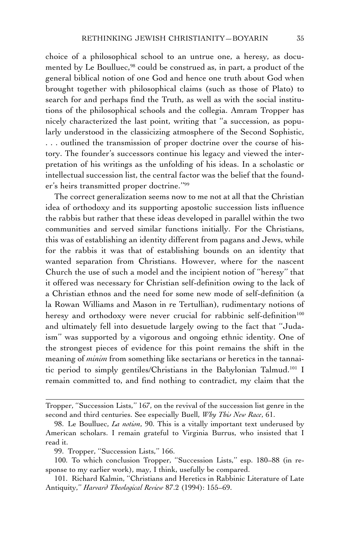choice of a philosophical school to an untrue one, a heresy, as documented by Le Boulluec,<sup>98</sup> could be construed as, in part, a product of the general biblical notion of one God and hence one truth about God when brought together with philosophical claims (such as those of Plato) to search for and perhaps find the Truth, as well as with the social institutions of the philosophical schools and the collegia. Amram Tropper has nicely characterized the last point, writing that ''a succession, as popularly understood in the classicizing atmosphere of the Second Sophistic, . . . outlined the transmission of proper doctrine over the course of history. The founder's successors continue his legacy and viewed the interpretation of his writings as the unfolding of his ideas. In a scholastic or intellectual succession list, the central factor was the belief that the founder's heirs transmitted proper doctrine.''99

The correct generalization seems now to me not at all that the Christian idea of orthodoxy and its supporting apostolic succession lists influence the rabbis but rather that these ideas developed in parallel within the two communities and served similar functions initially. For the Christians, this was of establishing an identity different from pagans and Jews, while for the rabbis it was that of establishing bounds on an identity that wanted separation from Christians. However, where for the nascent Church the use of such a model and the incipient notion of ''heresy'' that it offered was necessary for Christian self-definition owing to the lack of a Christian ethnos and the need for some new mode of self-definition (a la Rowan Williams and Mason in re Tertullian), rudimentary notions of heresy and orthodoxy were never crucial for rabbinic self-definition<sup>100</sup> and ultimately fell into desuetude largely owing to the fact that ''Judaism'' was supported by a vigorous and ongoing ethnic identity. One of the strongest pieces of evidence for this point remains the shift in the meaning of *minim* from something like sectarians or heretics in the tannaitic period to simply gentiles/Christians in the Babylonian Talmud.101 I remain committed to, and find nothing to contradict, my claim that the

Tropper, ''Succession Lists,'' 167, on the revival of the succession list genre in the second and third centuries. See especially Buell, *Why This New Race*, 61.

<sup>98.</sup> Le Boulluec, *La notion*, 90. This is a vitally important text underused by American scholars. I remain grateful to Virginia Burrus, who insisted that I read it.

<sup>99.</sup> Tropper, ''Succession Lists,'' 166.

<sup>100.</sup> To which conclusion Tropper, ''Succession Lists,'' esp. 180–88 (in response to my earlier work), may, I think, usefully be compared.

<sup>101.</sup> Richard Kalmin, ''Christians and Heretics in Rabbinic Literature of Late Antiquity,'' *Harvard Theological Review* 87.2 (1994): 155–69.